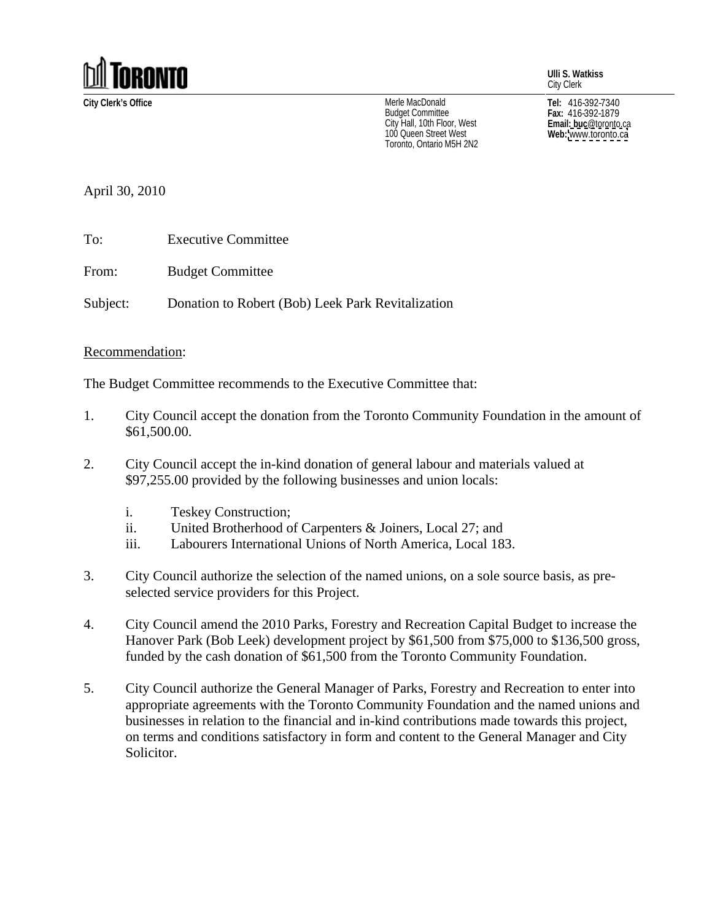

**Ulli S. Watkiss** City Clerk

**City Clerk's Office Tel:** 416-392-7340 Merle MacDonald Budget Committee **Election State Communitiers** Fax: 416-392-1879 City Hall, 10th Floor, West<br>100 Queen Street West<br>**Web:** www.toronto.ca 100 Queen Street West **Channel Communist Communist Web:** www.toronto.ca<br>Toronto, Ontario M5H 2N2 Toronto, Ontario M5H 2N2

**Fax:** 416-392-1879 **Email: buc**@toronto.ca **Web:** [www.toronto.ca](http://www.toronto.ca)

April 30, 2010

To: Executive Committee

From: Budget Committee

Subject: Donation to Robert (Bob) Leek Park Revitalization

## Recommendation:

The Budget Committee recommends to the Executive Committee that:

- 1. City Council accept the donation from the Toronto Community Foundation in the amount of \$61,500.00.
- 2. City Council accept the in-kind donation of general labour and materials valued at \$97,255.00 provided by the following businesses and union locals:
	- i. Teskey Construction;
	- ii. United Brotherhood of Carpenters & Joiners, Local 27; and
	- iii. Labourers International Unions of North America, Local 183.
- 3. City Council authorize the selection of the named unions, on a sole source basis, as pre selected service providers for this Project.
- 4. City Council amend the 2010 Parks, Forestry and Recreation Capital Budget to increase the Hanover Park (Bob Leek) development project by \$61,500 from \$75,000 to \$136,500 gross, funded by the cash donation of \$61,500 from the Toronto Community Foundation.
- 5. City Council authorize the General Manager of Parks, Forestry and Recreation to enter into appropriate agreements with the Toronto Community Foundation and the named unions and businesses in relation to the financial and in-kind contributions made towards this project, on terms and conditions satisfactory in form and content to the General Manager and City Solicitor.